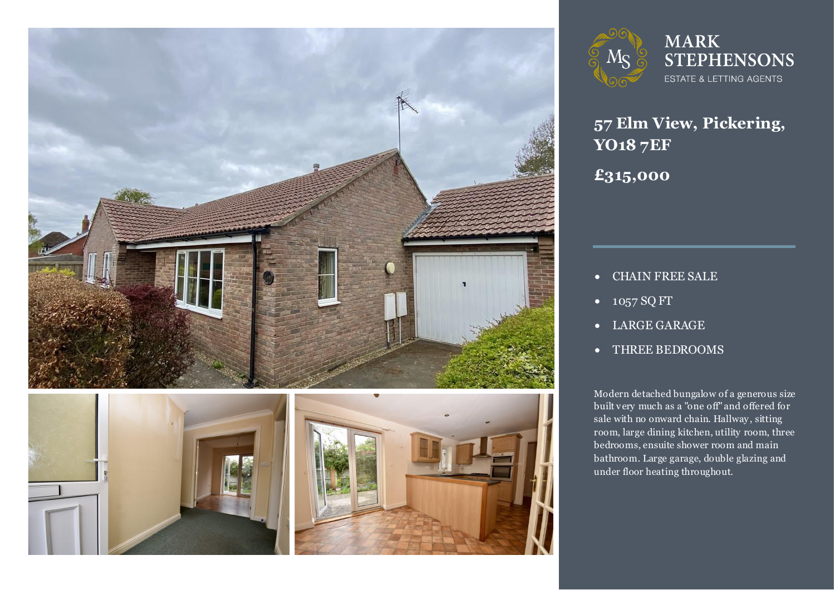





**MARK STEPHENSONS** ESTATE & LETTING AGENTS

**57 Elm View, Pickering, YO18 7EF**

**£315,000**

- CHAIN FREE SALE
- 1057 SQ FT
- LARGE GARAGE
- THREE BEDROOMS

Modern detached bungalow of a generous size<br>built very much as a "one off" and offered for sale with no onward chain. Hallway, sitting<br>room, large dining kitchen, utility room, three Modern detached bungalow of a generous size sale with no onward chain. Hallway, sitting bedrooms, ensuite shower room and main bathroom. Large garage, double glazing and under floor heating throughout.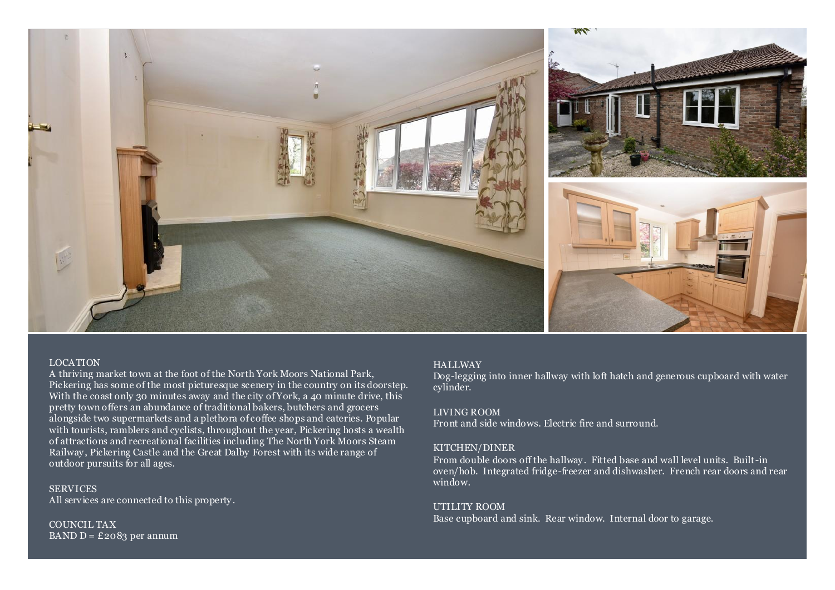

## LOCATION

A thriving market town at the foot of the North York Moors National Park, Pickering has some of the most picturesque scenery in the country on its doorstep. With the coast only 30 minutes away and the city of York, a 40 minute drive, this pretty town offers an abundance of traditional bakers, butchers and grocers alongside two supermarkets and a plethora of coffee shops and eateries. Popular with tourists, ramblers and cyclists, throughout the year, Pickering hosts a wealth of attractions and recreational facilities including The North York Moors Steam Railway, Pickering Castle and the Great Dalby Forest with its wide range of outdoor pursuits for all ages.

**SERVICES** All services are connected to this property .

COUNCIL TAX BAND  $D = \pounds 2083$  per annum

## **HALLWAY**

Dog-legging into inner hallway with loft hatch and generous cupboard with water cylinder.

#### LIVING ROOM

Front and side windows. Electric fire and surround.

## KITCHEN/DINER

From double doors off the hallway . Fitted base and wall level units. Built-in oven/hob. Integrated fridge-freezer and dishwasher. French rear doors and rear window.

## UTILITY ROOM

Base cupboard and sink. Rear window. Internal door to garage.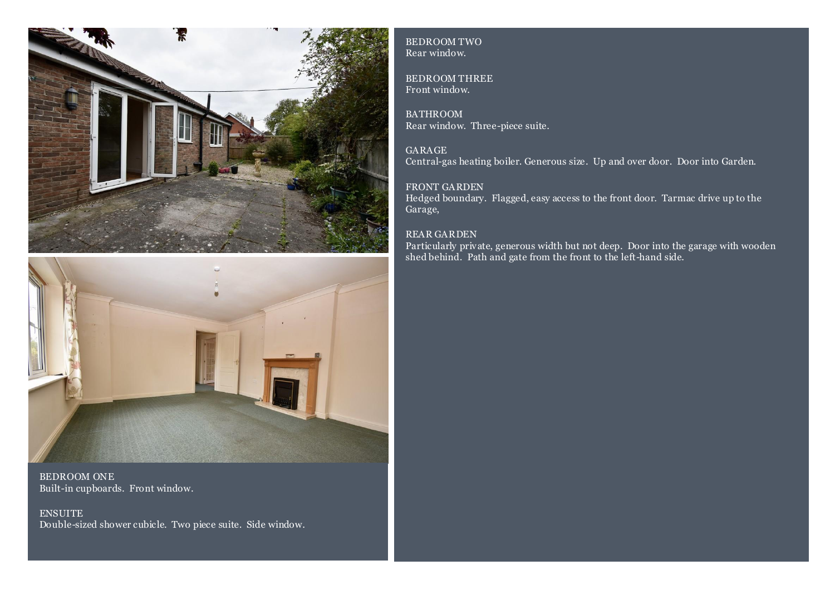



BEDROOM ONE Built-in cupboards. Front window.

**ENSUITE** Double-sized shower cubicle. Two piece suite. Side window. BEDROOM TWO Rear window.

BEDROOM THREE Front window.

BATHROOM Rear window. Three-piece suite.

GARAGE Central-gas heating boiler. Generous size. Up and over door. Door into Garden.

# FRONT GARDEN

Hedged boundary. Flagged, easy access to the front door. Tarmac drive up to the Garage,

# REAR GARDEN

Particularly private, generous width but not deep. Door into the garage with wooden shed behind. Path and gate from the front to the left-hand side.